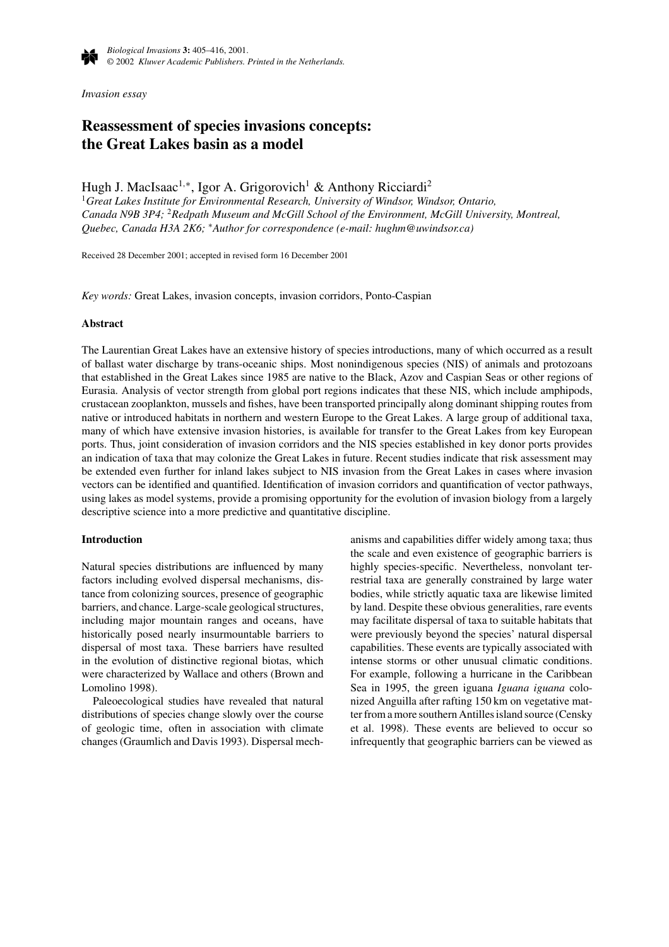

*Invasion essay*

# **Reassessment of species invasions concepts: the Great Lakes basin as a model**

Hugh J. MacIsaac<sup>1,∗</sup>, Igor A. Grigorovich<sup>1</sup> & Anthony Ricciardi<sup>2</sup>

<sup>1</sup>*Great Lakes Institute for Environmental Research, University of Windsor, Windsor, Ontario, Canada N9B 3P4;* <sup>2</sup>*Redpath Museum and McGill School of the Environment, McGill University, Montreal, Quebec, Canada H3A 2K6;* <sup>∗</sup>*Author for correspondence (e-mail: hughm@uwindsor.ca)*

Received 28 December 2001; accepted in revised form 16 December 2001

*Key words:* Great Lakes, invasion concepts, invasion corridors, Ponto-Caspian

# **Abstract**

The Laurentian Great Lakes have an extensive history of species introductions, many of which occurred as a result of ballast water discharge by trans-oceanic ships. Most nonindigenous species (NIS) of animals and protozoans that established in the Great Lakes since 1985 are native to the Black, Azov and Caspian Seas or other regions of Eurasia. Analysis of vector strength from global port regions indicates that these NIS, which include amphipods, crustacean zooplankton, mussels and fishes, have been transported principally along dominant shipping routes from native or introduced habitats in northern and western Europe to the Great Lakes. A large group of additional taxa, many of which have extensive invasion histories, is available for transfer to the Great Lakes from key European ports. Thus, joint consideration of invasion corridors and the NIS species established in key donor ports provides an indication of taxa that may colonize the Great Lakes in future. Recent studies indicate that risk assessment may be extended even further for inland lakes subject to NIS invasion from the Great Lakes in cases where invasion vectors can be identified and quantified. Identification of invasion corridors and quantification of vector pathways, using lakes as model systems, provide a promising opportunity for the evolution of invasion biology from a largely descriptive science into a more predictive and quantitative discipline.

# **Introduction**

Natural species distributions are influenced by many factors including evolved dispersal mechanisms, distance from colonizing sources, presence of geographic barriers, and chance. Large-scale geological structures, including major mountain ranges and oceans, have historically posed nearly insurmountable barriers to dispersal of most taxa. These barriers have resulted in the evolution of distinctive regional biotas, which were characterized by Wallace and others (Brown and Lomolino 1998).

Paleoecological studies have revealed that natural distributions of species change slowly over the course of geologic time, often in association with climate changes (Graumlich and Davis 1993). Dispersal mechanisms and capabilities differ widely among taxa; thus the scale and even existence of geographic barriers is highly species-specific. Nevertheless, nonvolant terrestrial taxa are generally constrained by large water bodies, while strictly aquatic taxa are likewise limited by land. Despite these obvious generalities, rare events may facilitate dispersal of taxa to suitable habitats that were previously beyond the species' natural dispersal capabilities. These events are typically associated with intense storms or other unusual climatic conditions. For example, following a hurricane in the Caribbean Sea in 1995, the green iguana *Iguana iguana* colonized Anguilla after rafting 150 km on vegetative matter from a more southern Antilles island source (Censky et al. 1998). These events are believed to occur so infrequently that geographic barriers can be viewed as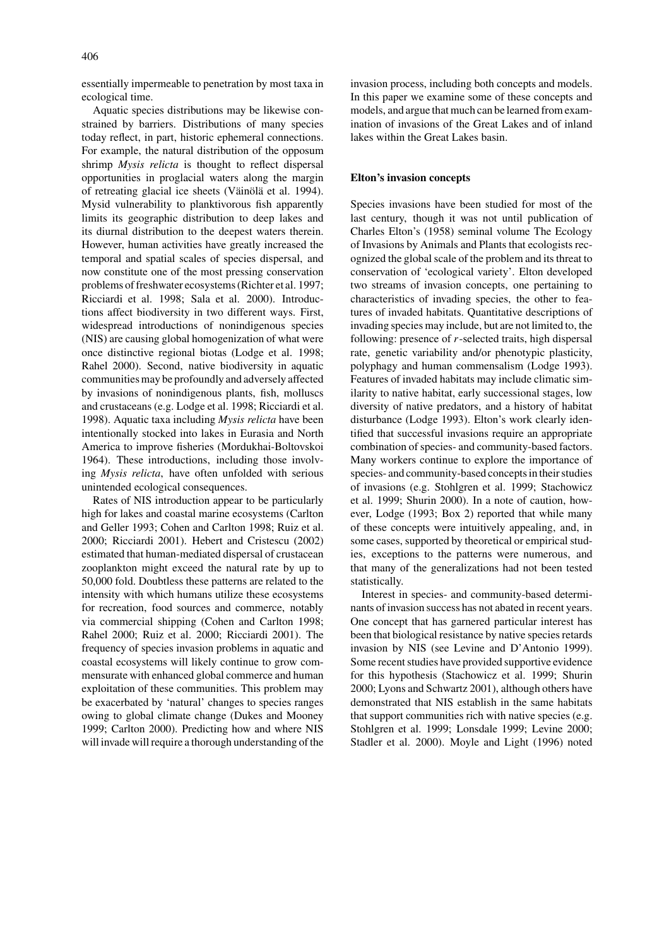essentially impermeable to penetration by most taxa in ecological time.

Aquatic species distributions may be likewise constrained by barriers. Distributions of many species today reflect, in part, historic ephemeral connections. For example, the natural distribution of the opposum shrimp *Mysis relicta* is thought to reflect dispersal opportunities in proglacial waters along the margin of retreating glacial ice sheets (Väinölä et al. 1994). Mysid vulnerability to planktivorous fish apparently limits its geographic distribution to deep lakes and its diurnal distribution to the deepest waters therein. However, human activities have greatly increased the temporal and spatial scales of species dispersal, and now constitute one of the most pressing conservation problems of freshwater ecosystems (Richter et al. 1997; Ricciardi et al. 1998; Sala et al. 2000). Introductions affect biodiversity in two different ways. First, widespread introductions of nonindigenous species (NIS) are causing global homogenization of what were once distinctive regional biotas (Lodge et al. 1998; Rahel 2000). Second, native biodiversity in aquatic communities may be profoundly and adversely affected by invasions of nonindigenous plants, fish, molluscs and crustaceans (e.g. Lodge et al. 1998; Ricciardi et al. 1998). Aquatic taxa including *Mysis relicta* have been intentionally stocked into lakes in Eurasia and North America to improve fisheries (Mordukhai-Boltovskoi 1964). These introductions, including those involving *Mysis relicta*, have often unfolded with serious unintended ecological consequences.

Rates of NIS introduction appear to be particularly high for lakes and coastal marine ecosystems (Carlton and Geller 1993; Cohen and Carlton 1998; Ruiz et al. 2000; Ricciardi 2001). Hebert and Cristescu (2002) estimated that human-mediated dispersal of crustacean zooplankton might exceed the natural rate by up to 50,000 fold. Doubtless these patterns are related to the intensity with which humans utilize these ecosystems for recreation, food sources and commerce, notably via commercial shipping (Cohen and Carlton 1998; Rahel 2000; Ruiz et al. 2000; Ricciardi 2001). The frequency of species invasion problems in aquatic and coastal ecosystems will likely continue to grow commensurate with enhanced global commerce and human exploitation of these communities. This problem may be exacerbated by 'natural' changes to species ranges owing to global climate change (Dukes and Mooney 1999; Carlton 2000). Predicting how and where NIS will invade will require a thorough understanding of the invasion process, including both concepts and models. In this paper we examine some of these concepts and models, and argue that much can be learned from examination of invasions of the Great Lakes and of inland lakes within the Great Lakes basin.

## **Elton's invasion concepts**

Species invasions have been studied for most of the last century, though it was not until publication of Charles Elton's (1958) seminal volume The Ecology of Invasions by Animals and Plants that ecologists recognized the global scale of the problem and its threat to conservation of 'ecological variety'. Elton developed two streams of invasion concepts, one pertaining to characteristics of invading species, the other to features of invaded habitats. Quantitative descriptions of invading species may include, but are not limited to, the following: presence of  $r$ -selected traits, high dispersal rate, genetic variability and/or phenotypic plasticity, polyphagy and human commensalism (Lodge 1993). Features of invaded habitats may include climatic similarity to native habitat, early successional stages, low diversity of native predators, and a history of habitat disturbance (Lodge 1993). Elton's work clearly identified that successful invasions require an appropriate combination of species- and community-based factors. Many workers continue to explore the importance of species- and community-based concepts in their studies of invasions (e.g. Stohlgren et al. 1999; Stachowicz et al. 1999; Shurin 2000). In a note of caution, however, Lodge (1993; Box 2) reported that while many of these concepts were intuitively appealing, and, in some cases, supported by theoretical or empirical studies, exceptions to the patterns were numerous, and that many of the generalizations had not been tested statistically.

Interest in species- and community-based determinants of invasion success has not abated in recent years. One concept that has garnered particular interest has been that biological resistance by native species retards invasion by NIS (see Levine and D'Antonio 1999). Some recent studies have provided supportive evidence for this hypothesis (Stachowicz et al. 1999; Shurin 2000; Lyons and Schwartz 2001), although others have demonstrated that NIS establish in the same habitats that support communities rich with native species (e.g. Stohlgren et al. 1999; Lonsdale 1999; Levine 2000; Stadler et al. 2000). Moyle and Light (1996) noted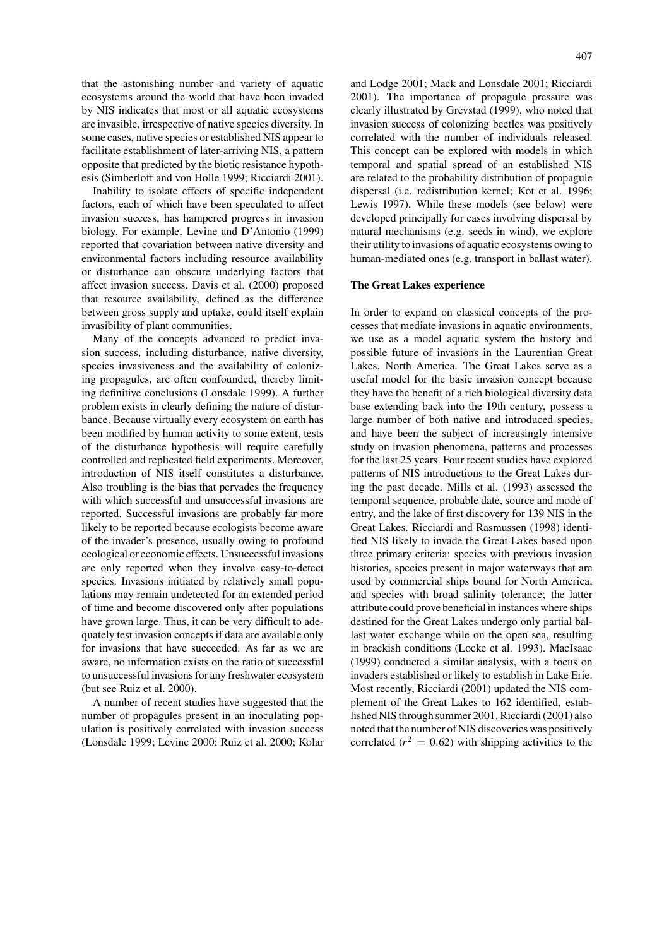that the astonishing number and variety of aquatic ecosystems around the world that have been invaded by NIS indicates that most or all aquatic ecosystems are invasible, irrespective of native species diversity. In some cases, native species or established NIS appear to facilitate establishment of later-arriving NIS, a pattern opposite that predicted by the biotic resistance hypothesis (Simberloff and von Holle 1999; Ricciardi 2001).

Inability to isolate effects of specific independent factors, each of which have been speculated to affect invasion success, has hampered progress in invasion biology. For example, Levine and D'Antonio (1999) reported that covariation between native diversity and environmental factors including resource availability or disturbance can obscure underlying factors that affect invasion success. Davis et al. (2000) proposed that resource availability, defined as the difference between gross supply and uptake, could itself explain invasibility of plant communities.

Many of the concepts advanced to predict invasion success, including disturbance, native diversity, species invasiveness and the availability of colonizing propagules, are often confounded, thereby limiting definitive conclusions (Lonsdale 1999). A further problem exists in clearly defining the nature of disturbance. Because virtually every ecosystem on earth has been modified by human activity to some extent, tests of the disturbance hypothesis will require carefully controlled and replicated field experiments. Moreover, introduction of NIS itself constitutes a disturbance. Also troubling is the bias that pervades the frequency with which successful and unsuccessful invasions are reported. Successful invasions are probably far more likely to be reported because ecologists become aware of the invader's presence, usually owing to profound ecological or economic effects. Unsuccessful invasions are only reported when they involve easy-to-detect species. Invasions initiated by relatively small populations may remain undetected for an extended period of time and become discovered only after populations have grown large. Thus, it can be very difficult to adequately test invasion concepts if data are available only for invasions that have succeeded. As far as we are aware, no information exists on the ratio of successful to unsuccessful invasions for any freshwater ecosystem (but see Ruiz et al. 2000).

A number of recent studies have suggested that the number of propagules present in an inoculating population is positively correlated with invasion success (Lonsdale 1999; Levine 2000; Ruiz et al. 2000; Kolar and Lodge 2001; Mack and Lonsdale 2001; Ricciardi 2001). The importance of propagule pressure was clearly illustrated by Grevstad (1999), who noted that invasion success of colonizing beetles was positively correlated with the number of individuals released. This concept can be explored with models in which temporal and spatial spread of an established NIS are related to the probability distribution of propagule dispersal (i.e. redistribution kernel; Kot et al. 1996; Lewis 1997). While these models (see below) were developed principally for cases involving dispersal by natural mechanisms (e.g. seeds in wind), we explore their utility to invasions of aquatic ecosystems owing to human-mediated ones (e.g. transport in ballast water).

## **The Great Lakes experience**

In order to expand on classical concepts of the processes that mediate invasions in aquatic environments, we use as a model aquatic system the history and possible future of invasions in the Laurentian Great Lakes, North America. The Great Lakes serve as a useful model for the basic invasion concept because they have the benefit of a rich biological diversity data base extending back into the 19th century, possess a large number of both native and introduced species, and have been the subject of increasingly intensive study on invasion phenomena, patterns and processes for the last 25 years. Four recent studies have explored patterns of NIS introductions to the Great Lakes during the past decade. Mills et al. (1993) assessed the temporal sequence, probable date, source and mode of entry, and the lake of first discovery for 139 NIS in the Great Lakes. Ricciardi and Rasmussen (1998) identified NIS likely to invade the Great Lakes based upon three primary criteria: species with previous invasion histories, species present in major waterways that are used by commercial ships bound for North America, and species with broad salinity tolerance; the latter attribute could prove beneficial in instances where ships destined for the Great Lakes undergo only partial ballast water exchange while on the open sea, resulting in brackish conditions (Locke et al. 1993). MacIsaac (1999) conducted a similar analysis, with a focus on invaders established or likely to establish in Lake Erie. Most recently, Ricciardi (2001) updated the NIS complement of the Great Lakes to 162 identified, established NIS through summer 2001. Ricciardi (2001) also noted that the number of NIS discoveries was positively correlated ( $r^2 = 0.62$ ) with shipping activities to the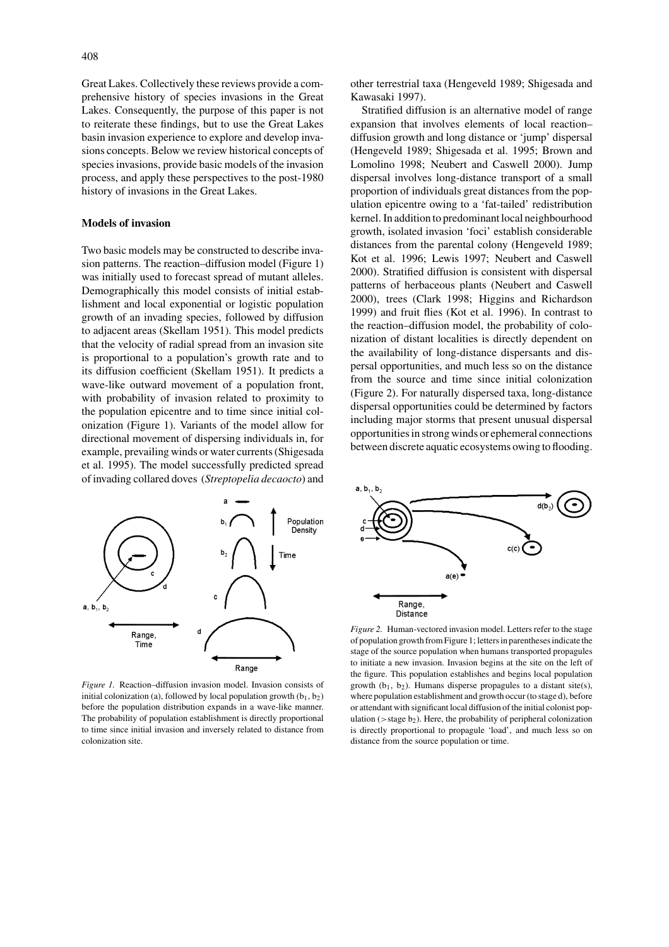Great Lakes. Collectively these reviews provide a comprehensive history of species invasions in the Great Lakes. Consequently, the purpose of this paper is not to reiterate these findings, but to use the Great Lakes basin invasion experience to explore and develop invasions concepts. Below we review historical concepts of species invasions, provide basic models of the invasion process, and apply these perspectives to the post-1980 history of invasions in the Great Lakes.

#### **Models of invasion**

Two basic models may be constructed to describe invasion patterns. The reaction–diffusion model (Figure 1) was initially used to forecast spread of mutant alleles. Demographically this model consists of initial establishment and local exponential or logistic population growth of an invading species, followed by diffusion to adjacent areas (Skellam 1951). This model predicts that the velocity of radial spread from an invasion site is proportional to a population's growth rate and to its diffusion coefficient (Skellam 1951). It predicts a wave-like outward movement of a population front, with probability of invasion related to proximity to the population epicentre and to time since initial colonization (Figure 1). Variants of the model allow for directional movement of dispersing individuals in, for example, prevailing winds or water currents (Shigesada et al. 1995). The model successfully predicted spread of invading collared doves (*Streptopelia decaocto*) and



*Figure 1.* Reaction–diffusion invasion model. Invasion consists of initial colonization (a), followed by local population growth  $(b_1, b_2)$ before the population distribution expands in a wave-like manner. The probability of population establishment is directly proportional to time since initial invasion and inversely related to distance from colonization site.

other terrestrial taxa (Hengeveld 1989; Shigesada and Kawasaki 1997).

Stratified diffusion is an alternative model of range expansion that involves elements of local reaction– diffusion growth and long distance or 'jump' dispersal (Hengeveld 1989; Shigesada et al. 1995; Brown and Lomolino 1998; Neubert and Caswell 2000). Jump dispersal involves long-distance transport of a small proportion of individuals great distances from the population epicentre owing to a 'fat-tailed' redistribution kernel. In addition to predominant local neighbourhood growth, isolated invasion 'foci' establish considerable distances from the parental colony (Hengeveld 1989; Kot et al. 1996; Lewis 1997; Neubert and Caswell 2000). Stratified diffusion is consistent with dispersal patterns of herbaceous plants (Neubert and Caswell 2000), trees (Clark 1998; Higgins and Richardson 1999) and fruit flies (Kot et al. 1996). In contrast to the reaction–diffusion model, the probability of colonization of distant localities is directly dependent on the availability of long-distance dispersants and dispersal opportunities, and much less so on the distance from the source and time since initial colonization (Figure 2). For naturally dispersed taxa, long-distance dispersal opportunities could be determined by factors including major storms that present unusual dispersal opportunities in strong winds or ephemeral connections between discrete aquatic ecosystems owing to flooding.



*Figure 2.* Human-vectored invasion model. Letters refer to the stage of population growth from Figure 1; letters in parentheses indicate the stage of the source population when humans transported propagules to initiate a new invasion. Invasion begins at the site on the left of the figure. This population establishes and begins local population growth  $(b_1, b_2)$ . Humans disperse propagules to a distant site(s), where population establishment and growth occur (to stage d), before or attendant with significant local diffusion of the initial colonist population ( $>\text{stage } b_2$ ). Here, the probability of peripheral colonization is directly proportional to propagule 'load', and much less so on distance from the source population or time.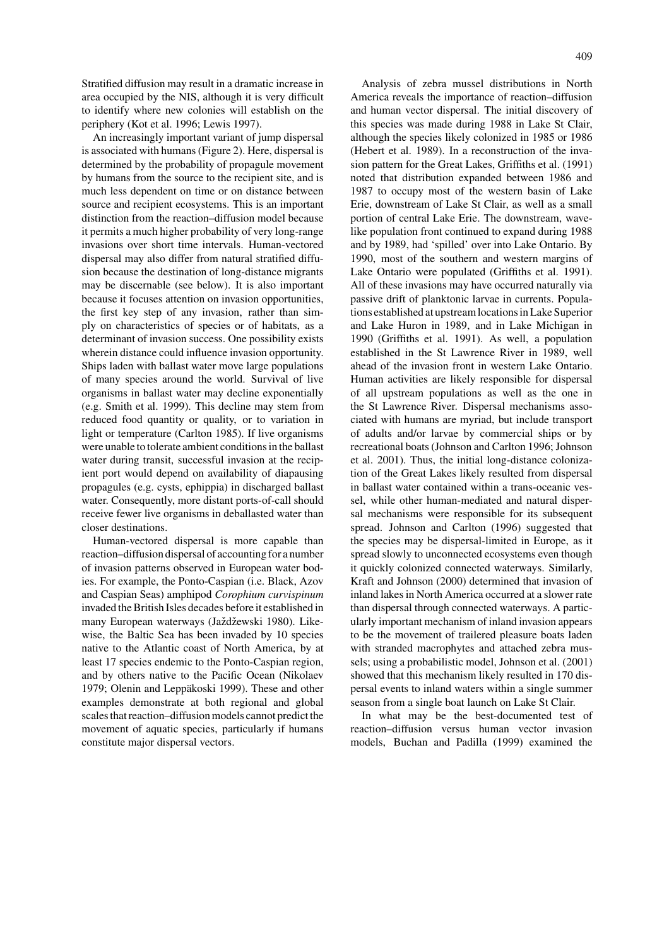Stratified diffusion may result in a dramatic increase in area occupied by the NIS, although it is very difficult to identify where new colonies will establish on the periphery (Kot et al. 1996; Lewis 1997).

An increasingly important variant of jump dispersal is associated with humans (Figure 2). Here, dispersal is determined by the probability of propagule movement by humans from the source to the recipient site, and is much less dependent on time or on distance between source and recipient ecosystems. This is an important distinction from the reaction–diffusion model because it permits a much higher probability of very long-range invasions over short time intervals. Human-vectored dispersal may also differ from natural stratified diffusion because the destination of long-distance migrants may be discernable (see below). It is also important because it focuses attention on invasion opportunities, the first key step of any invasion, rather than simply on characteristics of species or of habitats, as a determinant of invasion success. One possibility exists wherein distance could influence invasion opportunity. Ships laden with ballast water move large populations of many species around the world. Survival of live organisms in ballast water may decline exponentially (e.g. Smith et al. 1999). This decline may stem from reduced food quantity or quality, or to variation in light or temperature (Carlton 1985). If live organisms were unable to tolerate ambient conditions in the ballast water during transit, successful invasion at the recipient port would depend on availability of diapausing propagules (e.g. cysts, ephippia) in discharged ballast water. Consequently, more distant ports-of-call should receive fewer live organisms in deballasted water than closer destinations.

Human-vectored dispersal is more capable than reaction–diffusion dispersal of accounting for a number of invasion patterns observed in European water bodies. For example, the Ponto-Caspian (i.e. Black, Azov and Caspian Seas) amphipod *Corophium curvispinum* invaded the British Isles decades before it established in many European waterways (Jaždžewski 1980). Likewise, the Baltic Sea has been invaded by 10 species native to the Atlantic coast of North America, by at least 17 species endemic to the Ponto-Caspian region, and by others native to the Pacific Ocean (Nikolaev 1979; Olenin and Leppäkoski 1999). These and other examples demonstrate at both regional and global scales that reaction–diffusion models cannot predict the movement of aquatic species, particularly if humans constitute major dispersal vectors.

Analysis of zebra mussel distributions in North America reveals the importance of reaction–diffusion and human vector dispersal. The initial discovery of this species was made during 1988 in Lake St Clair, although the species likely colonized in 1985 or 1986 (Hebert et al. 1989). In a reconstruction of the invasion pattern for the Great Lakes, Griffiths et al. (1991) noted that distribution expanded between 1986 and 1987 to occupy most of the western basin of Lake Erie, downstream of Lake St Clair, as well as a small portion of central Lake Erie. The downstream, wavelike population front continued to expand during 1988 and by 1989, had 'spilled' over into Lake Ontario. By 1990, most of the southern and western margins of Lake Ontario were populated (Griffiths et al. 1991). All of these invasions may have occurred naturally via passive drift of planktonic larvae in currents. Populations established at upstream locations in Lake Superior and Lake Huron in 1989, and in Lake Michigan in 1990 (Griffiths et al. 1991). As well, a population established in the St Lawrence River in 1989, well ahead of the invasion front in western Lake Ontario. Human activities are likely responsible for dispersal of all upstream populations as well as the one in the St Lawrence River. Dispersal mechanisms associated with humans are myriad, but include transport of adults and/or larvae by commercial ships or by recreational boats (Johnson and Carlton 1996; Johnson et al. 2001). Thus, the initial long-distance colonization of the Great Lakes likely resulted from dispersal in ballast water contained within a trans-oceanic vessel, while other human-mediated and natural dispersal mechanisms were responsible for its subsequent spread. Johnson and Carlton (1996) suggested that the species may be dispersal-limited in Europe, as it spread slowly to unconnected ecosystems even though it quickly colonized connected waterways. Similarly, Kraft and Johnson (2000) determined that invasion of inland lakes in North America occurred at a slower rate than dispersal through connected waterways. A particularly important mechanism of inland invasion appears to be the movement of trailered pleasure boats laden with stranded macrophytes and attached zebra mussels; using a probabilistic model, Johnson et al. (2001) showed that this mechanism likely resulted in 170 dispersal events to inland waters within a single summer season from a single boat launch on Lake St Clair.

In what may be the best-documented test of reaction–diffusion versus human vector invasion models, Buchan and Padilla (1999) examined the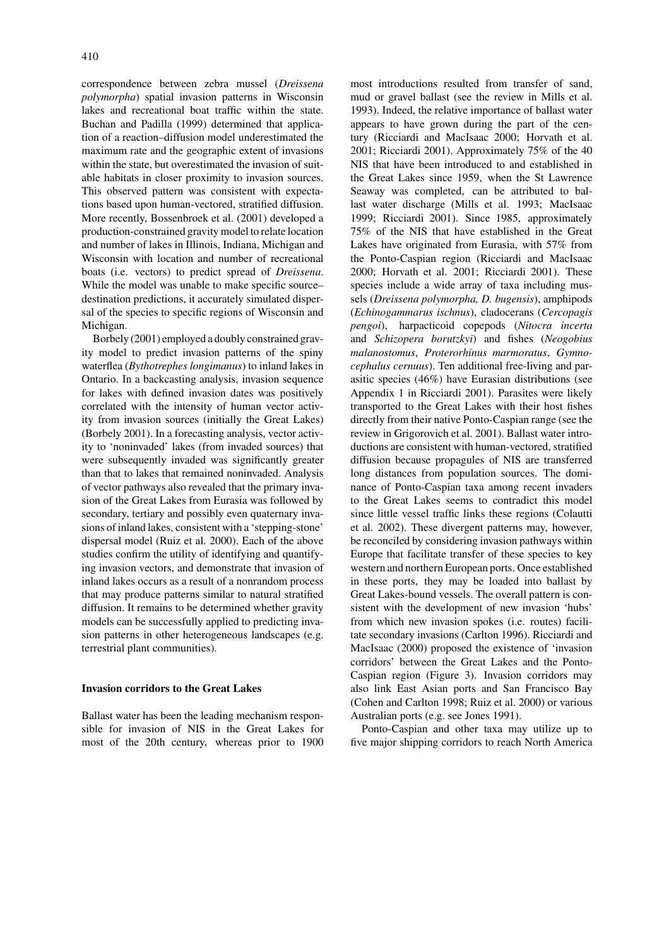correspondence between zebra mussel (*Dreissena polymorpha*) spatial invasion patterns in Wisconsin lakes and recreational boat traffic within the state. Buchan and Padilla (1999) determined that application of a reaction–diffusion model underestimated the maximum rate and the geographic extent of invasions within the state, but overestimated the invasion of suitable habitats in closer proximity to invasion sources. This observed pattern was consistent with expectations based upon human-vectored, stratified diffusion. More recently, Bossenbroek et al. (2001) developed a production-constrained gravity model to relate location and number of lakes in Illinois, Indiana, Michigan and Wisconsin with location and number of recreational boats (i.e. vectors) to predict spread of *Dreissena*. While the model was unable to make specific source– destination predictions, it accurately simulated dispersal of the species to specific regions of Wisconsin and Michigan.

Borbely (2001) employed a doubly constrained gravity model to predict invasion patterns of the spiny waterflea (*Bythotrephes longimanus*) to inland lakes in Ontario. In a backcasting analysis, invasion sequence for lakes with defined invasion dates was positively correlated with the intensity of human vector activity from invasion sources (initially the Great Lakes) (Borbely 2001). In a forecasting analysis, vector activity to 'noninvaded' lakes (from invaded sources) that were subsequently invaded was significantly greater than that to lakes that remained noninvaded. Analysis of vector pathways also revealed that the primary invasion of the Great Lakes from Eurasia was followed by secondary, tertiary and possibly even quaternary invasions of inland lakes, consistent with a 'stepping-stone' dispersal model (Ruiz et al. 2000). Each of the above studies confirm the utility of identifying and quantifying invasion vectors, and demonstrate that invasion of inland lakes occurs as a result of a nonrandom process that may produce patterns similar to natural stratified diffusion. It remains to be determined whether gravity models can be successfully applied to predicting invasion patterns in other heterogeneous landscapes (e.g. terrestrial plant communities).

# **Invasion corridors to the Great Lakes**

Ballast water has been the leading mechanism responsible for invasion of NIS in the Great Lakes for most of the 20th century, whereas prior to 1900 most introductions resulted from transfer of sand, mud or gravel ballast (see the review in Mills et al. 1993). Indeed, the relative importance of ballast water appears to have grown during the part of the century (Ricciardi and MacIsaac 2000; Horvath et al. 2001; Ricciardi 2001). Approximately 75% of the 40 NIS that have been introduced to and established in the Great Lakes since 1959, when the St Lawrence Seaway was completed, can be attributed to ballast water discharge (Mills et al. 1993; MacIsaac 1999; Ricciardi 2001). Since 1985, approximately 75% of the NIS that have established in the Great Lakes have originated from Eurasia, with 57% from the Ponto-Caspian region (Ricciardi and MacIsaac 2000; Horvath et al. 2001; Ricciardi 2001). These species include a wide array of taxa including mussels (*Dreissena polymorpha, D. bugensis*), amphipods (*Echinogammarus ischnus*), cladocerans (*Cercopagis pengoi*), harpacticoid copepods (*Nitocra incerta* and *Schizopera borutzkyi*) and fishes (*Neogobius malanostomus*, *Proterorhinus marmoratus*, *Gymnocephalus cernuus*). Ten additional free-living and parasitic species (46%) have Eurasian distributions (see Appendix 1 in Ricciardi 2001). Parasites were likely transported to the Great Lakes with their host fishes directly from their native Ponto-Caspian range (see the review in Grigorovich et al. 2001). Ballast water introductions are consistent with human-vectored, stratified diffusion because propagules of NIS are transferred long distances from population sources. The dominance of Ponto-Caspian taxa among recent invaders to the Great Lakes seems to contradict this model since little vessel traffic links these regions (Colautti et al. 2002). These divergent patterns may, however, be reconciled by considering invasion pathways within Europe that facilitate transfer of these species to key western and northern European ports. Once established in these ports, they may be loaded into ballast by Great Lakes-bound vessels. The overall pattern is consistent with the development of new invasion 'hubs' from which new invasion spokes (i.e. routes) facilitate secondary invasions (Carlton 1996). Ricciardi and MacIsaac (2000) proposed the existence of 'invasion corridors' between the Great Lakes and the Ponto-Caspian region (Figure 3). Invasion corridors may also link East Asian ports and San Francisco Bay (Cohen and Carlton 1998; Ruiz et al. 2000) or various Australian ports (e.g. see Jones 1991).

Ponto-Caspian and other taxa may utilize up to five major shipping corridors to reach North America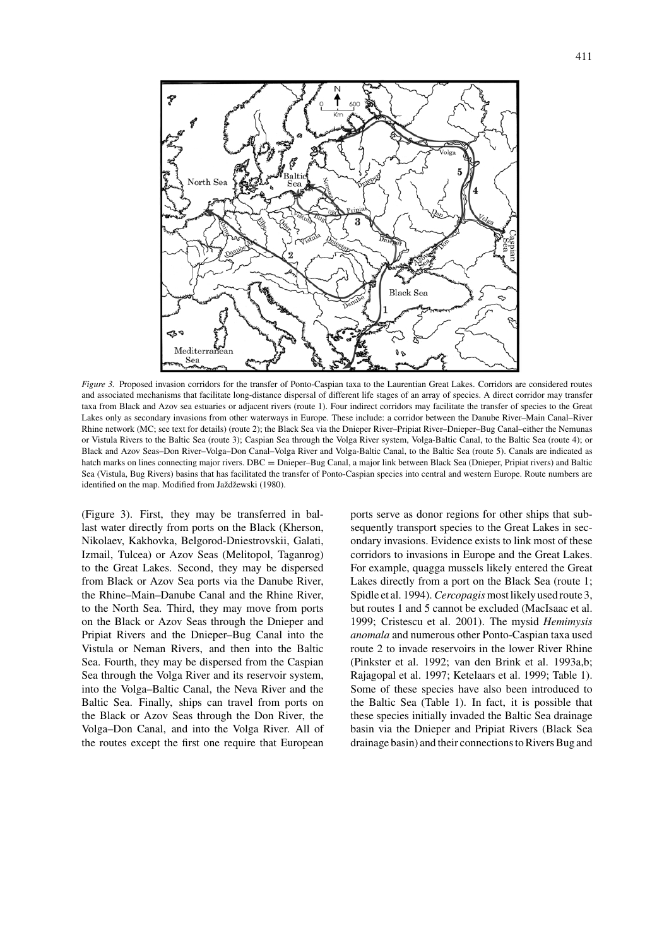

*Figure 3.* Proposed invasion corridors for the transfer of Ponto-Caspian taxa to the Laurentian Great Lakes. Corridors are considered routes and associated mechanisms that facilitate long-distance dispersal of different life stages of an array of species. A direct corridor may transfer taxa from Black and Azov sea estuaries or adjacent rivers (route 1). Four indirect corridors may facilitate the transfer of species to the Great Lakes only as secondary invasions from other waterways in Europe. These include: a corridor between the Danube River–Main Canal–River Rhine network (MC; see text for details) (route 2); the Black Sea via the Dnieper River–Pripiat River–Dnieper–Bug Canal–either the Nemunas or Vistula Rivers to the Baltic Sea (route 3); Caspian Sea through the Volga River system, Volga-Baltic Canal, to the Baltic Sea (route 4); or Black and Azov Seas–Don River–Volga–Don Canal–Volga River and Volga-Baltic Canal, to the Baltic Sea (route 5). Canals are indicated as hatch marks on lines connecting major rivers. DBC = Dnieper-Bug Canal, a major link between Black Sea (Dnieper, Pripiat rivers) and Baltic Sea (Vistula, Bug Rivers) basins that has facilitated the transfer of Ponto-Caspian species into central and western Europe. Route numbers are identified on the map. Modified from Jaždžewski (1980).

(Figure 3). First, they may be transferred in ballast water directly from ports on the Black (Kherson, Nikolaev, Kakhovka, Belgorod-Dniestrovskii, Galati, Izmail, Tulcea) or Azov Seas (Melitopol, Taganrog) to the Great Lakes. Second, they may be dispersed from Black or Azov Sea ports via the Danube River, the Rhine–Main–Danube Canal and the Rhine River, to the North Sea. Third, they may move from ports on the Black or Azov Seas through the Dnieper and Pripiat Rivers and the Dnieper–Bug Canal into the Vistula or Neman Rivers, and then into the Baltic Sea. Fourth, they may be dispersed from the Caspian Sea through the Volga River and its reservoir system, into the Volga–Baltic Canal, the Neva River and the Baltic Sea. Finally, ships can travel from ports on the Black or Azov Seas through the Don River, the Volga–Don Canal, and into the Volga River. All of the routes except the first one require that European

ports serve as donor regions for other ships that subsequently transport species to the Great Lakes in secondary invasions. Evidence exists to link most of these corridors to invasions in Europe and the Great Lakes. For example, quagga mussels likely entered the Great Lakes directly from a port on the Black Sea (route 1; Spidle et al. 1994). *Cercopagis*most likely used route 3, but routes 1 and 5 cannot be excluded (MacIsaac et al. 1999; Cristescu et al. 2001). The mysid *Hemimysis anomala* and numerous other Ponto-Caspian taxa used route 2 to invade reservoirs in the lower River Rhine (Pinkster et al. 1992; van den Brink et al. 1993a,b; Rajagopal et al. 1997; Ketelaars et al. 1999; Table 1). Some of these species have also been introduced to the Baltic Sea (Table 1). In fact, it is possible that these species initially invaded the Baltic Sea drainage basin via the Dnieper and Pripiat Rivers (Black Sea drainage basin) and their connections to Rivers Bug and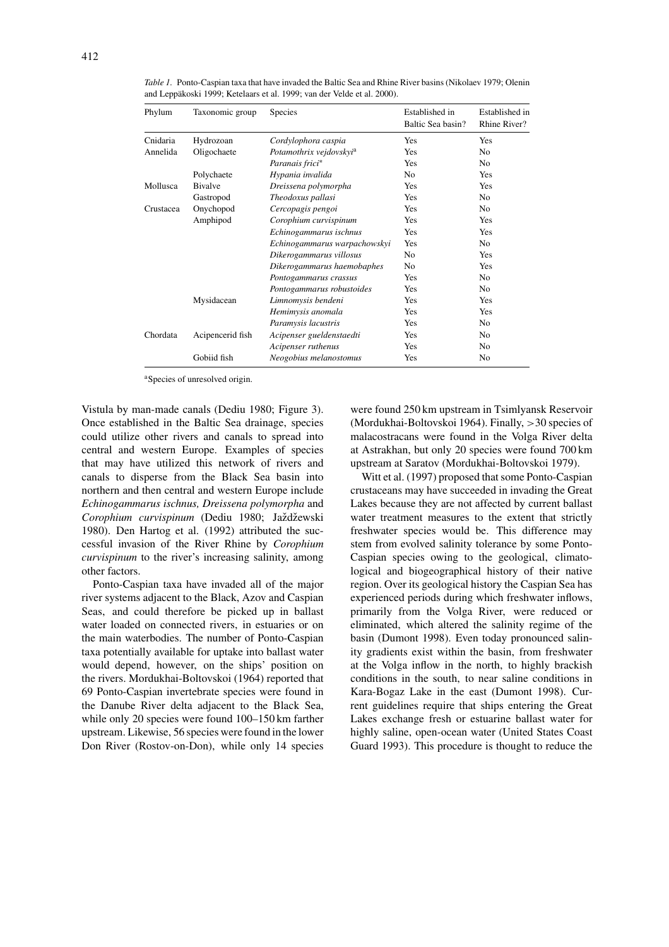| Phylum    | Taxonomic group  | Species                             | Established in<br>Baltic Sea basin? | Established in<br>Rhine River? |
|-----------|------------------|-------------------------------------|-------------------------------------|--------------------------------|
| Cnidaria  | Hydrozoan        | Cordylophora caspia                 | <b>Yes</b>                          | <b>Yes</b>                     |
| Annelida  | Oligochaete      | Potamothrix vejdovskyi <sup>a</sup> | Yes                                 | No.                            |
|           |                  | Paranais frici*                     | Yes                                 | No                             |
|           | Polychaete       | Hypania invalida                    | No.                                 | <b>Yes</b>                     |
| Mollusca  | <b>B</b> ivalve  | Dreissena polymorpha                | Yes                                 | Yes                            |
|           | Gastropod        | Theodoxus pallasi                   | <b>Yes</b>                          | N <sub>0</sub>                 |
| Crustacea | Onychopod        | Cercopagis pengoi                   | Yes                                 | No.                            |
|           | Amphipod         | Corophium curvispinum               | Yes                                 | Yes                            |
|           |                  | Echinogammarus ischnus              | Yes                                 | Yes                            |
|           |                  | Echinogammarus warpachowskyi        | Yes                                 | No.                            |
|           |                  | Dikerogammarus villosus             | No.                                 | Yes                            |
|           |                  | Dikerogammarus haemobaphes          | No                                  | Yes                            |
|           |                  | Pontogammarus crassus               | Yes                                 | No                             |
|           |                  | Pontogammarus robustoides           | Yes                                 | No                             |
|           | Mysidacean       | Limnomysis bendeni                  | Yes                                 | Yes                            |
|           |                  | Hemimysis anomala                   | Yes                                 | <b>Yes</b>                     |
|           |                  | Paramysis lacustris                 | Yes                                 | N <sub>0</sub>                 |
| Chordata  | Acipencerid fish | Acipenser gueldenstaedti            | Yes                                 | No                             |
|           |                  | Acipenser ruthenus                  | Yes                                 | No                             |
|           | Gobiid fish      | Neogobius melanostomus              | Yes                                 | No                             |

*Table 1.* Ponto-Caspian taxa that have invaded the Baltic Sea and Rhine River basins (Nikolaev 1979; Olenin and Leppäkoski 1999; Ketelaars et al. 1999; van der Velde et al. 2000).

<sup>a</sup>Species of unresolved origin.

Vistula by man-made canals (Dediu 1980; Figure 3). Once established in the Baltic Sea drainage, species could utilize other rivers and canals to spread into central and western Europe. Examples of species that may have utilized this network of rivers and canals to disperse from the Black Sea basin into northern and then central and western Europe include *Echinogammarus ischnus, Dreissena polymorpha* and Corophium curvispinum (Dediu 1980; Jaždžewski 1980). Den Hartog et al. (1992) attributed the successful invasion of the River Rhine by *Corophium curvispinum* to the river's increasing salinity, among other factors.

Ponto-Caspian taxa have invaded all of the major river systems adjacent to the Black, Azov and Caspian Seas, and could therefore be picked up in ballast water loaded on connected rivers, in estuaries or on the main waterbodies. The number of Ponto-Caspian taxa potentially available for uptake into ballast water would depend, however, on the ships' position on the rivers. Mordukhai-Boltovskoi (1964) reported that 69 Ponto-Caspian invertebrate species were found in the Danube River delta adjacent to the Black Sea, while only 20 species were found 100–150 km farther upstream. Likewise, 56 species were found in the lower Don River (Rostov-on-Don), while only 14 species

were found 250 km upstream in Tsimlyansk Reservoir (Mordukhai-Boltovskoi 1964). Finally, >30 species of malacostracans were found in the Volga River delta at Astrakhan, but only 20 species were found 700 km upstream at Saratov (Mordukhai-Boltovskoi 1979).

Witt et al. (1997) proposed that some Ponto-Caspian crustaceans may have succeeded in invading the Great Lakes because they are not affected by current ballast water treatment measures to the extent that strictly freshwater species would be. This difference may stem from evolved salinity tolerance by some Ponto-Caspian species owing to the geological, climatological and biogeographical history of their native region. Over its geological history the Caspian Sea has experienced periods during which freshwater inflows, primarily from the Volga River, were reduced or eliminated, which altered the salinity regime of the basin (Dumont 1998). Even today pronounced salinity gradients exist within the basin, from freshwater at the Volga inflow in the north, to highly brackish conditions in the south, to near saline conditions in Kara-Bogaz Lake in the east (Dumont 1998). Current guidelines require that ships entering the Great Lakes exchange fresh or estuarine ballast water for highly saline, open-ocean water (United States Coast Guard 1993). This procedure is thought to reduce the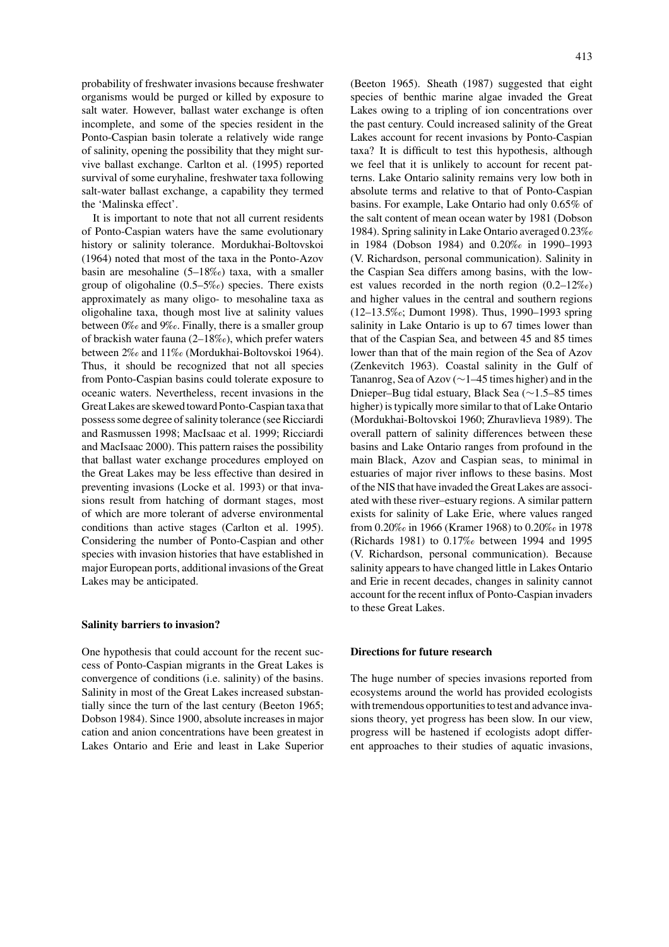probability of freshwater invasions because freshwater organisms would be purged or killed by exposure to salt water. However, ballast water exchange is often incomplete, and some of the species resident in the Ponto-Caspian basin tolerate a relatively wide range of salinity, opening the possibility that they might survive ballast exchange. Carlton et al. (1995) reported survival of some euryhaline, freshwater taxa following salt-water ballast exchange, a capability they termed the 'Malinska effect'.

It is important to note that not all current residents of Ponto-Caspian waters have the same evolutionary history or salinity tolerance. Mordukhai-Boltovskoi (1964) noted that most of the taxa in the Ponto-Azov basin are mesohaline (5–18‰) taxa, with a smaller group of oligohaline (0.5–5‰) species. There exists approximately as many oligo- to mesohaline taxa as oligohaline taxa, though most live at salinity values between 0‰ and 9‰. Finally, there is a smaller group of brackish water fauna (2–18‰), which prefer waters between 2‰ and 11‰ (Mordukhai-Boltovskoi 1964). Thus, it should be recognized that not all species from Ponto-Caspian basins could tolerate exposure to oceanic waters. Nevertheless, recent invasions in the Great Lakes are skewed toward Ponto-Caspian taxa that possess some degree of salinity tolerance (see Ricciardi and Rasmussen 1998; MacIsaac et al. 1999; Ricciardi and MacIsaac 2000). This pattern raises the possibility that ballast water exchange procedures employed on the Great Lakes may be less effective than desired in preventing invasions (Locke et al. 1993) or that invasions result from hatching of dormant stages, most of which are more tolerant of adverse environmental conditions than active stages (Carlton et al. 1995). Considering the number of Ponto-Caspian and other species with invasion histories that have established in major European ports, additional invasions of the Great Lakes may be anticipated.

#### **Salinity barriers to invasion?**

One hypothesis that could account for the recent success of Ponto-Caspian migrants in the Great Lakes is convergence of conditions (i.e. salinity) of the basins. Salinity in most of the Great Lakes increased substantially since the turn of the last century (Beeton 1965; Dobson 1984). Since 1900, absolute increases in major cation and anion concentrations have been greatest in Lakes Ontario and Erie and least in Lake Superior (Beeton 1965). Sheath (1987) suggested that eight species of benthic marine algae invaded the Great Lakes owing to a tripling of ion concentrations over the past century. Could increased salinity of the Great Lakes account for recent invasions by Ponto-Caspian taxa? It is difficult to test this hypothesis, although we feel that it is unlikely to account for recent patterns. Lake Ontario salinity remains very low both in absolute terms and relative to that of Ponto-Caspian basins. For example, Lake Ontario had only 0.65% of the salt content of mean ocean water by 1981 (Dobson 1984). Spring salinity in Lake Ontario averaged 0.23‰ in 1984 (Dobson 1984) and 0.20‰ in 1990–1993 (V. Richardson, personal communication). Salinity in the Caspian Sea differs among basins, with the lowest values recorded in the north region (0.2–12‰) and higher values in the central and southern regions (12–13.5‰; Dumont 1998). Thus, 1990–1993 spring salinity in Lake Ontario is up to 67 times lower than that of the Caspian Sea, and between 45 and 85 times lower than that of the main region of the Sea of Azov (Zenkevitch 1963). Coastal salinity in the Gulf of Tananrog, Sea of Azov (∼1–45 times higher) and in the Dnieper–Bug tidal estuary, Black Sea (∼1.5–85 times higher) is typically more similar to that of Lake Ontario (Mordukhai-Boltovskoi 1960; Zhuravlieva 1989). The overall pattern of salinity differences between these basins and Lake Ontario ranges from profound in the main Black, Azov and Caspian seas, to minimal in estuaries of major river inflows to these basins. Most of the NIS that have invaded the Great Lakes are associated with these river–estuary regions. A similar pattern exists for salinity of Lake Erie, where values ranged from 0.20‰ in 1966 (Kramer 1968) to 0.20‰ in 1978 (Richards 1981) to 0.17‰ between 1994 and 1995 (V. Richardson, personal communication). Because salinity appears to have changed little in Lakes Ontario and Erie in recent decades, changes in salinity cannot account for the recent influx of Ponto-Caspian invaders to these Great Lakes.

# **Directions for future research**

The huge number of species invasions reported from ecosystems around the world has provided ecologists with tremendous opportunities to test and advance invasions theory, yet progress has been slow. In our view, progress will be hastened if ecologists adopt different approaches to their studies of aquatic invasions,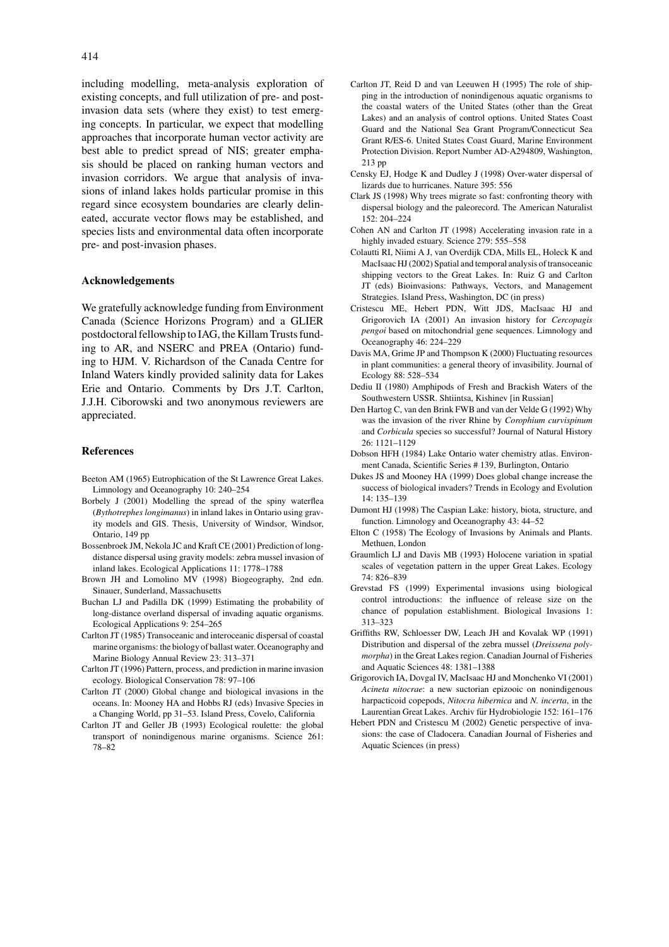including modelling, meta-analysis exploration of existing concepts, and full utilization of pre- and postinvasion data sets (where they exist) to test emerging concepts. In particular, we expect that modelling approaches that incorporate human vector activity are best able to predict spread of NIS; greater emphasis should be placed on ranking human vectors and invasion corridors. We argue that analysis of invasions of inland lakes holds particular promise in this regard since ecosystem boundaries are clearly delineated, accurate vector flows may be established, and species lists and environmental data often incorporate pre- and post-invasion phases.

#### **Acknowledgements**

We gratefully acknowledge funding from Environment Canada (Science Horizons Program) and a GLIER postdoctoral fellowship to IAG, the Killam Trusts funding to AR, and NSERC and PREA (Ontario) funding to HJM. V. Richardson of the Canada Centre for Inland Waters kindly provided salinity data for Lakes Erie and Ontario. Comments by Drs J.T. Carlton, J.J.H. Ciborowski and two anonymous reviewers are appreciated.

#### **References**

- Beeton AM (1965) Eutrophication of the St Lawrence Great Lakes. Limnology and Oceanography 10: 240–254
- Borbely J (2001) Modelling the spread of the spiny waterflea (*Bythotrephes longimanus*) in inland lakes in Ontario using gravity models and GIS. Thesis, University of Windsor, Windsor, Ontario, 149 pp
- Bossenbroek JM, Nekola JC and Kraft CE (2001) Prediction of longdistance dispersal using gravity models: zebra mussel invasion of inland lakes. Ecological Applications 11: 1778–1788
- Brown JH and Lomolino MV (1998) Biogeography, 2nd edn. Sinauer, Sunderland, Massachusetts
- Buchan LJ and Padilla DK (1999) Estimating the probability of long-distance overland dispersal of invading aquatic organisms. Ecological Applications 9: 254–265
- Carlton JT (1985) Transoceanic and interoceanic dispersal of coastal marine organisms: the biology of ballast water. Oceanography and Marine Biology Annual Review 23: 313–371
- Carlton JT (1996) Pattern, process, and prediction in marine invasion ecology. Biological Conservation 78: 97–106
- Carlton JT (2000) Global change and biological invasions in the oceans. In: Mooney HA and Hobbs RJ (eds) Invasive Species in a Changing World, pp 31–53. Island Press, Covelo, California
- Carlton JT and Geller JB (1993) Ecological roulette: the global transport of nonindigenous marine organisms. Science 261: 78–82
- Carlton JT, Reid D and van Leeuwen H (1995) The role of shipping in the introduction of nonindigenous aquatic organisms to the coastal waters of the United States (other than the Great Lakes) and an analysis of control options. United States Coast Guard and the National Sea Grant Program/Connecticut Sea Grant R/ES-6. United States Coast Guard, Marine Environment Protection Division. Report Number AD-A294809, Washington, 213 pp
- Censky EJ, Hodge K and Dudley J (1998) Over-water dispersal of lizards due to hurricanes. Nature 395: 556
- Clark JS (1998) Why trees migrate so fast: confronting theory with dispersal biology and the paleorecord. The American Naturalist 152: 204–224
- Cohen AN and Carlton JT (1998) Accelerating invasion rate in a highly invaded estuary. Science 279: 555–558
- Colautti RI, Niimi A J, van Overdijk CDA, Mills EL, Holeck K and MacIsaac HJ (2002) Spatial and temporal analysis of transoceanic shipping vectors to the Great Lakes. In: Ruiz G and Carlton JT (eds) Bioinvasions: Pathways, Vectors, and Management Strategies. Island Press, Washington, DC (in press)
- Cristescu ME, Hebert PDN, Witt JDS, MacIsaac HJ and Grigorovich IA (2001) An invasion history for *Cercopagis pengoi* based on mitochondrial gene sequences. Limnology and Oceanography 46: 224–229
- Davis MA, Grime JP and Thompson K (2000) Fluctuating resources in plant communities: a general theory of invasibility. Journal of Ecology 88: 528–534
- Dediu II (1980) Amphipods of Fresh and Brackish Waters of the Southwestern USSR. Shtiintsa, Kishinev [in Russian]
- Den Hartog C, van den Brink FWB and van der Velde G (1992) Why was the invasion of the river Rhine by *Corophium curvispinum* and *Corbicula* species so successful? Journal of Natural History 26: 1121–1129
- Dobson HFH (1984) Lake Ontario water chemistry atlas. Environment Canada, Scientific Series # 139, Burlington, Ontario
- Dukes JS and Mooney HA (1999) Does global change increase the success of biological invaders? Trends in Ecology and Evolution 14: 135–139
- Dumont HJ (1998) The Caspian Lake: history, biota, structure, and function. Limnology and Oceanography 43: 44–52
- Elton C (1958) The Ecology of Invasions by Animals and Plants. Methuen, London
- Graumlich LJ and Davis MB (1993) Holocene variation in spatial scales of vegetation pattern in the upper Great Lakes. Ecology 74: 826–839
- Grevstad FS (1999) Experimental invasions using biological control introductions: the influence of release size on the chance of population establishment. Biological Invasions 1: 313–323
- Griffiths RW, Schloesser DW, Leach JH and Kovalak WP (1991) Distribution and dispersal of the zebra mussel (*Dreissena polymorpha*) in the Great Lakes region. Canadian Journal of Fisheries and Aquatic Sciences 48: 1381–1388
- Grigorovich IA, Dovgal IV, MacIsaac HJ and Monchenko VI (2001) *Acineta nitocrae*: a new suctorian epizooic on nonindigenous harpacticoid copepods, *Nitocra hibernica* and *N. incerta*, in the Laurentian Great Lakes. Archiv für Hydrobiologie 152: 161-176
- Hebert PDN and Cristescu M (2002) Genetic perspective of invasions: the case of Cladocera. Canadian Journal of Fisheries and Aquatic Sciences (in press)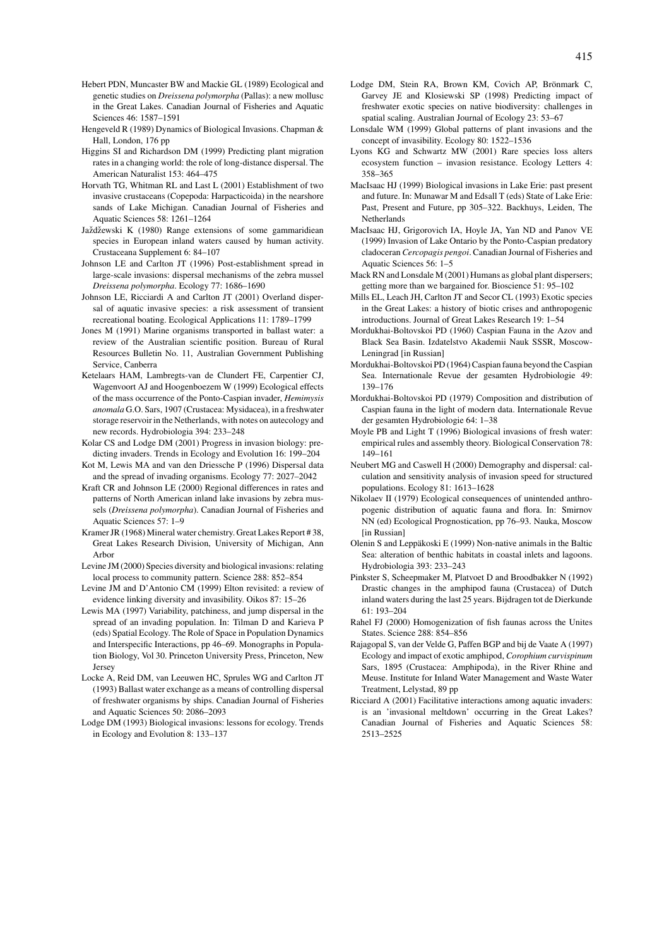- Hebert PDN, Muncaster BW and Mackie GL (1989) Ecological and genetic studies on *Dreissena polymorpha* (Pallas): a new mollusc in the Great Lakes. Canadian Journal of Fisheries and Aquatic Sciences 46: 1587–1591
- Hengeveld R (1989) Dynamics of Biological Invasions. Chapman & Hall, London, 176 pp
- Higgins SI and Richardson DM (1999) Predicting plant migration rates in a changing world: the role of long-distance dispersal. The American Naturalist 153: 464–475
- Horvath TG, Whitman RL and Last L (2001) Establishment of two invasive crustaceans (Copepoda: Harpacticoida) in the nearshore sands of Lake Michigan. Canadian Journal of Fisheries and Aquatic Sciences 58: 1261–1264
- Jaždžewski K (1980) Range extensions of some gammaridiean species in European inland waters caused by human activity. Crustaceana Supplement 6: 84–107
- Johnson LE and Carlton JT (1996) Post-establishment spread in large-scale invasions: dispersal mechanisms of the zebra mussel *Dreissena polymorpha*. Ecology 77: 1686–1690
- Johnson LE, Ricciardi A and Carlton JT (2001) Overland dispersal of aquatic invasive species: a risk assessment of transient recreational boating. Ecological Applications 11: 1789–1799
- Jones M (1991) Marine organisms transported in ballast water: a review of the Australian scientific position. Bureau of Rural Resources Bulletin No. 11, Australian Government Publishing Service, Canberra
- Ketelaars HAM, Lambregts-van de Clundert FE, Carpentier CJ, Wagenvoort AJ and Hoogenboezem W (1999) Ecological effects of the mass occurrence of the Ponto-Caspian invader, *Hemimysis anomala* G.O. Sars, 1907 (Crustacea: Mysidacea), in a freshwater storage reservoir in the Netherlands, with notes on autecology and new records. Hydrobiologia 394: 233–248
- Kolar CS and Lodge DM (2001) Progress in invasion biology: predicting invaders. Trends in Ecology and Evolution 16: 199–204
- Kot M, Lewis MA and van den Driessche P (1996) Dispersal data and the spread of invading organisms. Ecology 77: 2027–2042
- Kraft CR and Johnson LE (2000) Regional differences in rates and patterns of North American inland lake invasions by zebra mussels (*Dreissena polymorpha*). Canadian Journal of Fisheries and Aquatic Sciences 57: 1–9
- Kramer JR (1968) Mineral water chemistry. Great Lakes Report # 38, Great Lakes Research Division, University of Michigan, Ann Arbor
- Levine JM (2000) Species diversity and biological invasions: relating local process to community pattern. Science 288: 852–854
- Levine JM and D'Antonio CM (1999) Elton revisited: a review of evidence linking diversity and invasibility. Oikos 87: 15–26
- Lewis MA (1997) Variability, patchiness, and jump dispersal in the spread of an invading population. In: Tilman D and Karieva P (eds) Spatial Ecology. The Role of Space in Population Dynamics and Interspecific Interactions, pp 46–69. Monographs in Population Biology, Vol 30. Princeton University Press, Princeton, New Jersey
- Locke A, Reid DM, van Leeuwen HC, Sprules WG and Carlton JT (1993) Ballast water exchange as a means of controlling dispersal of freshwater organisms by ships. Canadian Journal of Fisheries and Aquatic Sciences 50: 2086–2093
- Lodge DM (1993) Biological invasions: lessons for ecology. Trends in Ecology and Evolution 8: 133–137
- Lodge DM, Stein RA, Brown KM, Covich AP, Brönmark C, Garvey JE and Klosiewski SP (1998) Predicting impact of freshwater exotic species on native biodiversity: challenges in spatial scaling. Australian Journal of Ecology 23: 53–67
- Lonsdale WM (1999) Global patterns of plant invasions and the concept of invasibility. Ecology 80: 1522–1536
- Lyons KG and Schwartz MW (2001) Rare species loss alters ecosystem function – invasion resistance. Ecology Letters 4: 358–365
- MacIsaac HJ (1999) Biological invasions in Lake Erie: past present and future. In: Munawar M and Edsall T (eds) State of Lake Erie: Past, Present and Future, pp 305–322. Backhuys, Leiden, The **Netherlands**
- MacIsaac HJ, Grigorovich IA, Hoyle JA, Yan ND and Panov VE (1999) Invasion of Lake Ontario by the Ponto-Caspian predatory cladoceran *Cercopagis pengoi*. Canadian Journal of Fisheries and Aquatic Sciences 56: 1–5
- Mack RN and Lonsdale M (2001) Humans as global plant dispersers; getting more than we bargained for. Bioscience 51: 95–102
- Mills EL, Leach JH, Carlton JT and Secor CL (1993) Exotic species in the Great Lakes: a history of biotic crises and anthropogenic introductions. Journal of Great Lakes Research 19: 1–54
- Mordukhai-Boltovskoi PD (1960) Caspian Fauna in the Azov and Black Sea Basin. Izdatelstvo Akademii Nauk SSSR, Moscow-Leningrad [in Russian]
- Mordukhai-Boltovskoi PD (1964) Caspian fauna beyond the Caspian Sea. Internationale Revue der gesamten Hydrobiologie 49: 139–176
- Mordukhai-Boltovskoi PD (1979) Composition and distribution of Caspian fauna in the light of modern data. Internationale Revue der gesamten Hydrobiologie 64: 1–38
- Moyle PB and Light T (1996) Biological invasions of fresh water: empirical rules and assembly theory. Biological Conservation 78: 149–161
- Neubert MG and Caswell H (2000) Demography and dispersal: calculation and sensitivity analysis of invasion speed for structured populations. Ecology 81: 1613–1628
- Nikolaev II (1979) Ecological consequences of unintended anthropogenic distribution of aquatic fauna and flora. In: Smirnov NN (ed) Ecological Prognostication, pp 76–93. Nauka, Moscow [in Russian]
- Olenin S and Leppakoski E (1999) Non-native animals in the Baltic ¨ Sea: alteration of benthic habitats in coastal inlets and lagoons. Hydrobiologia 393: 233–243
- Pinkster S, Scheepmaker M, Platvoet D and Broodbakker N (1992) Drastic changes in the amphipod fauna (Crustacea) of Dutch inland waters during the last 25 years. Bijdragen tot de Dierkunde 61: 193–204
- Rahel FJ (2000) Homogenization of fish faunas across the Unites States. Science 288: 854–856
- Rajagopal S, van der Velde G, Paffen BGP and bij de Vaate A (1997) Ecology and impact of exotic amphipod, *Corophium curvispinum* Sars, 1895 (Crustacea: Amphipoda), in the River Rhine and Meuse. Institute for Inland Water Management and Waste Water Treatment, Lelystad, 89 pp
- Ricciard A (2001) Facilitative interactions among aquatic invaders: is an 'invasional meltdown' occurring in the Great Lakes? Canadian Journal of Fisheries and Aquatic Sciences 58: 2513–2525